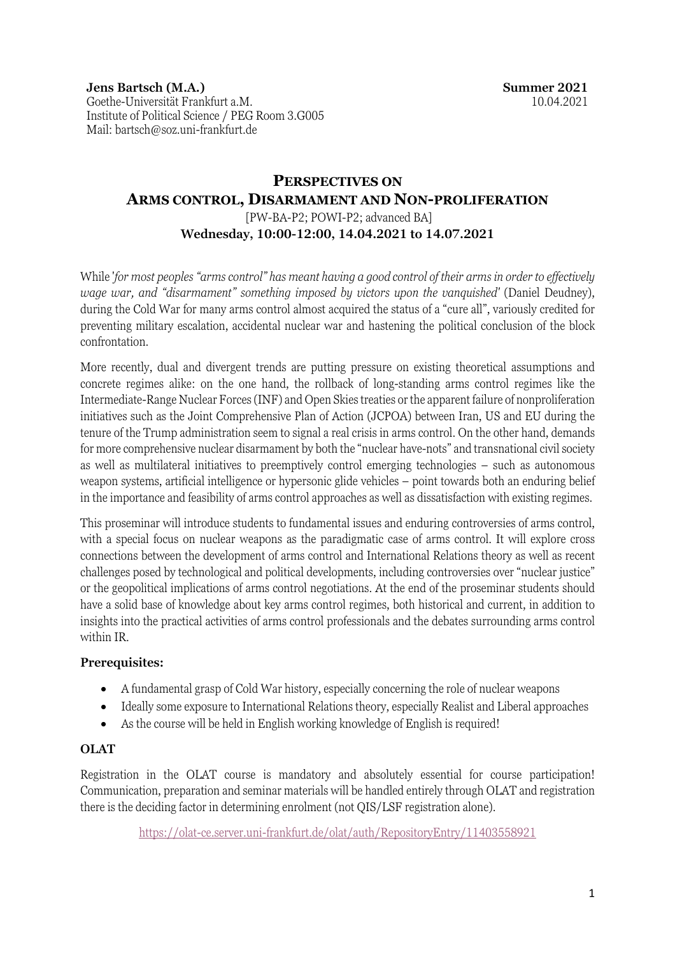**Jens Bartsch (M.A.)** Goethe-Universität Frankfurt a.M. Institute of Political Science / PEG Room 3.G005 Mail: bartsch@soz.uni-frankfurt.de

# **PERSPECTIVES ON ARMS CONTROL, DISARMAMENT AND NON-PROLIFERATION**

[PW-BA-P2; POWI-P2; advanced BA] **Wednesday, 10:00-12:00, 14.04.2021 to 14.07.2021**

While '*for most peoples "arms control" has meant having a good control of their arms in order to effectively wage war, and "disarmament" something imposed by victors upon the vanquished'* (Daniel Deudney), during the Cold War for many arms control almost acquired the status of a "cure all", variously credited for preventing military escalation, accidental nuclear war and hastening the political conclusion of the block confrontation.

More recently, dual and divergent trends are putting pressure on existing theoretical assumptions and concrete regimes alike: on the one hand, the rollback of long-standing arms control regimes like the Intermediate-Range Nuclear Forces (INF) and Open Skies treaties or the apparent failure of nonproliferation initiatives such as the Joint Comprehensive Plan of Action (JCPOA) between Iran, US and EU during the tenure of the Trump administration seem to signal a real crisis in arms control. On the other hand, demands for more comprehensive nuclear disarmament by both the "nuclear have-nots" and transnational civil society as well as multilateral initiatives to preemptively control emerging technologies – such as autonomous weapon systems, artificial intelligence or hypersonic glide vehicles – point towards both an enduring belief in the importance and feasibility of arms control approaches as well as dissatisfaction with existing regimes.

This proseminar will introduce students to fundamental issues and enduring controversies of arms control, with a special focus on nuclear weapons as the paradigmatic case of arms control. It will explore cross connections between the development of arms control and International Relations theory as well as recent challenges posed by technological and political developments, including controversies over "nuclear justice" or the geopolitical implications of arms control negotiations. At the end of the proseminar students should have a solid base of knowledge about key arms control regimes, both historical and current, in addition to insights into the practical activities of arms control professionals and the debates surrounding arms control within IR.

## **Prerequisites:**

- A fundamental grasp of Cold War history, especially concerning the role of nuclear weapons
- Ideally some exposure to International Relations theory, especially Realist and Liberal approaches
- As the course will be held in English working knowledge of English is required!

## **OLAT**

Registration in the OLAT course is mandatory and absolutely essential for course participation! Communication, preparation and seminar materials will be handled entirely through OLAT and registration there is the deciding factor in determining enrolment (not QIS/LSF registration alone).

https://olat-ce.server.uni-frankfurt.de/olat/auth/RepositoryEntry/11403558921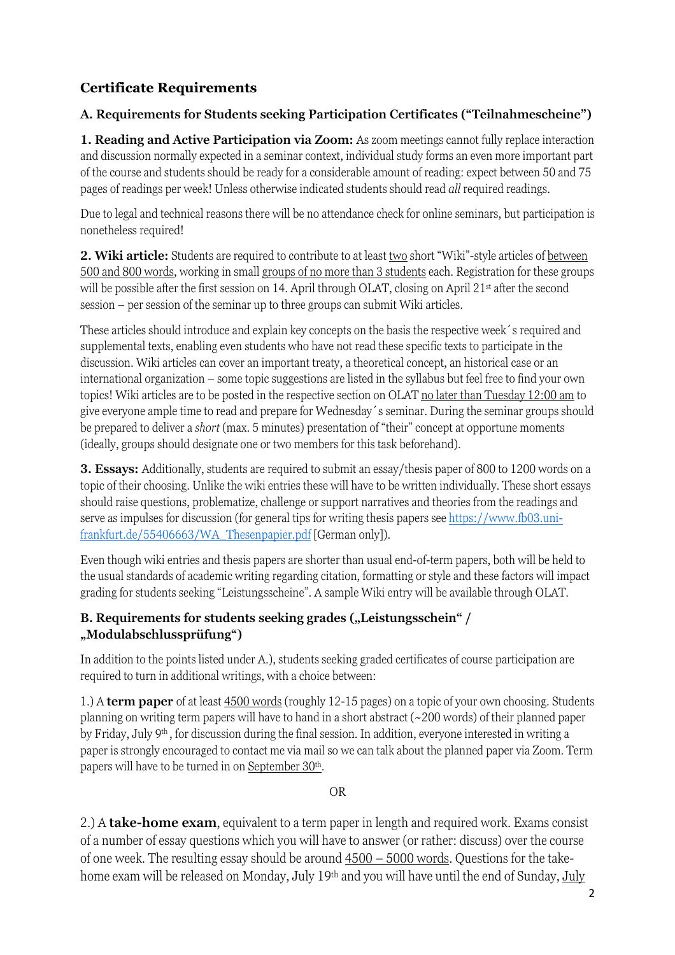# **Certificate Requirements**

# **A. Requirements for Students seeking Participation Certificates ("Teilnahmescheine")**

**1. Reading and Active Participation via Zoom:** As zoom meetings cannot fully replace interaction and discussion normally expected in a seminar context, individual study forms an even more important part of the course and students should be ready for a considerable amount of reading: expect between 50 and 75 pages of readings per week! Unless otherwise indicated students should read *all* required readings.

Due to legal and technical reasons there will be no attendance check for online seminars, but participation is nonetheless required!

**2. Wiki article:** Students are required to contribute to at least two short "Wiki"-style articles of between 500 and 800 words, working in small groups of no more than 3 students each. Registration for these groups will be possible after the first session on 14. April through OLAT, closing on April 21<sup>st</sup> after the second session – per session of the seminar up to three groups can submit Wiki articles.

These articles should introduce and explain key concepts on the basis the respective week´s required and supplemental texts, enabling even students who have not read these specific texts to participate in the discussion. Wiki articles can cover an important treaty, a theoretical concept, an historical case or an international organization – some topic suggestions are listed in the syllabus but feel free to find your own topics! Wiki articles are to be posted in the respective section on OLAT no later than Tuesday 12:00 am to give everyone ample time to read and prepare for Wednesday´s seminar. During the seminar groups should be prepared to deliver a *short* (max. 5 minutes) presentation of "their" concept at opportune moments (ideally, groups should designate one or two members for this task beforehand).

**3. Essays:** Additionally, students are required to submit an essay/thesis paper of 800 to 1200 words on a topic of their choosing. Unlike the wiki entries these will have to be written individually. These short essays should raise questions, problematize, challenge or support narratives and theories from the readings and serve as impulses for discussion (for general tips for writing thesis papers see https://www.fb03.unifrankfurt.de/55406663/WA\_Thesenpapier.pdf [German only]).

Even though wiki entries and thesis papers are shorter than usual end-of-term papers, both will be held to the usual standards of academic writing regarding citation, formatting or style and these factors will impact grading for students seeking "Leistungsscheine". A sample Wiki entry will be available through OLAT.

# **B. Requirements for students seeking grades ("Leistungsschein" / "Modulabschlussprüfung")**

In addition to the points listed under A.), students seeking graded certificates of course participation are required to turn in additional writings, with a choice between:

1.) A **term paper** of at least 4500 words (roughly 12-15 pages) on a topic of your own choosing. Students planning on writing term papers will have to hand in a short abstract (~200 words) of their planned paper by Friday, July 9th , for discussion during the final session. In addition, everyone interested in writing a paper is strongly encouraged to contact me via mail so we can talk about the planned paper via Zoom. Term papers will have to be turned in on September 30<sup>th</sup>.

OR

2.) A **take-home exam**, equivalent to a term paper in length and required work. Exams consist of a number of essay questions which you will have to answer (or rather: discuss) over the course of one week. The resulting essay should be around 4500 – 5000 words. Questions for the takehome exam will be released on Monday, July 19<sup>th</sup> and you will have until the end of Sunday, July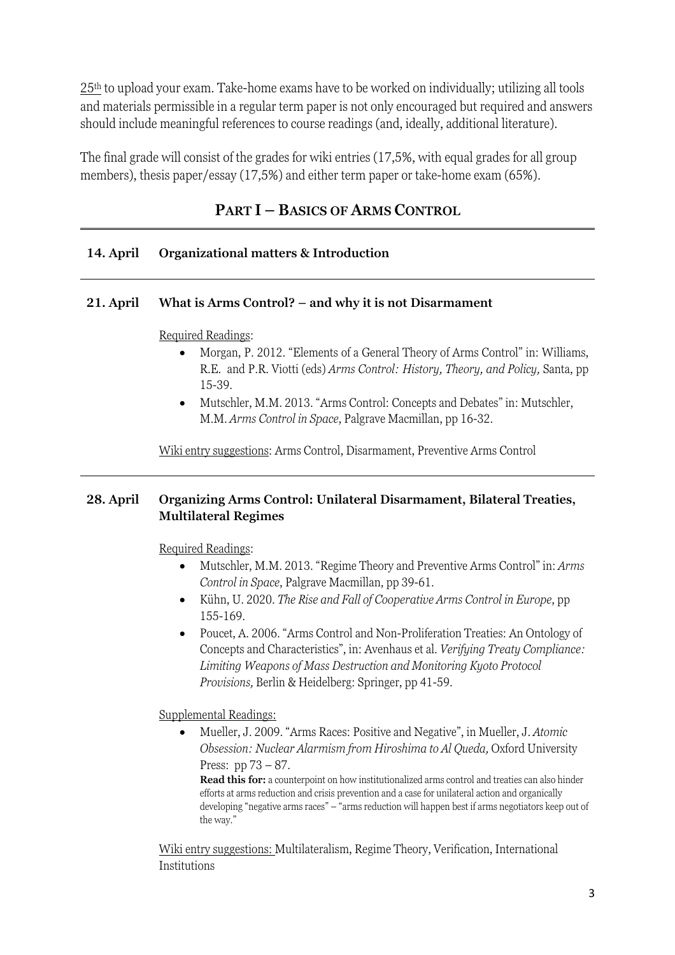25th to upload your exam. Take-home exams have to be worked on individually; utilizing all tools and materials permissible in a regular term paper is not only encouraged but required and answers should include meaningful references to course readings (and, ideally, additional literature).

The final grade will consist of the grades for wiki entries (17,5%, with equal grades for all group members), thesis paper/essay (17,5%) and either term paper or take-home exam (65%).

# **PART I – BASICS OF ARMS CONTROL**

# **14. April Organizational matters & Introduction**

## **21. April What is Arms Control? – and why it is not Disarmament**

## Required Readings:

- Morgan, P. 2012. "Elements of a General Theory of Arms Control" in: Williams, R.E. and P.R. Viotti (eds) *Arms Control: History, Theory, and Policy,* Santa, pp 15-39.
- Mutschler, M.M. 2013. "Arms Control: Concepts and Debates" in: Mutschler, M.M. *Arms Control in Space*, Palgrave Macmillan, pp 16-32.

Wiki entry suggestions: Arms Control, Disarmament, Preventive Arms Control

## **28. April Organizing Arms Control: Unilateral Disarmament, Bilateral Treaties, Multilateral Regimes**

Required Readings:

- Mutschler, M.M. 2013. "Regime Theory and Preventive Arms Control" in: *Arms Control in Space*, Palgrave Macmillan, pp 39-61.
- Kühn, U. 2020. *The Rise and Fall of Cooperative Arms Control in Europe*, pp 155-169.
- Poucet, A. 2006. "Arms Control and Non-Proliferation Treaties: An Ontology of Concepts and Characteristics", in: Avenhaus et al. *Verifying Treaty Compliance: Limiting Weapons of Mass Destruction and Monitoring Kyoto Protocol Provisions,* Berlin & Heidelberg: Springer, pp 41-59.

Supplemental Readings:

• Mueller, J. 2009. "Arms Races: Positive and Negative", in Mueller, J. *Atomic Obsession: Nuclear Alarmism from Hiroshima to Al Queda,* Oxford University Press: pp 73 – 87.

**Read this for:** a counterpoint on how institutionalized arms control and treaties can also hinder efforts at arms reduction and crisis prevention and a case for unilateral action and organically developing "negative arms races" – "arms reduction will happen best if arms negotiators keep out of the way."

Wiki entry suggestions: Multilateralism, Regime Theory, Verification, International **Institutions**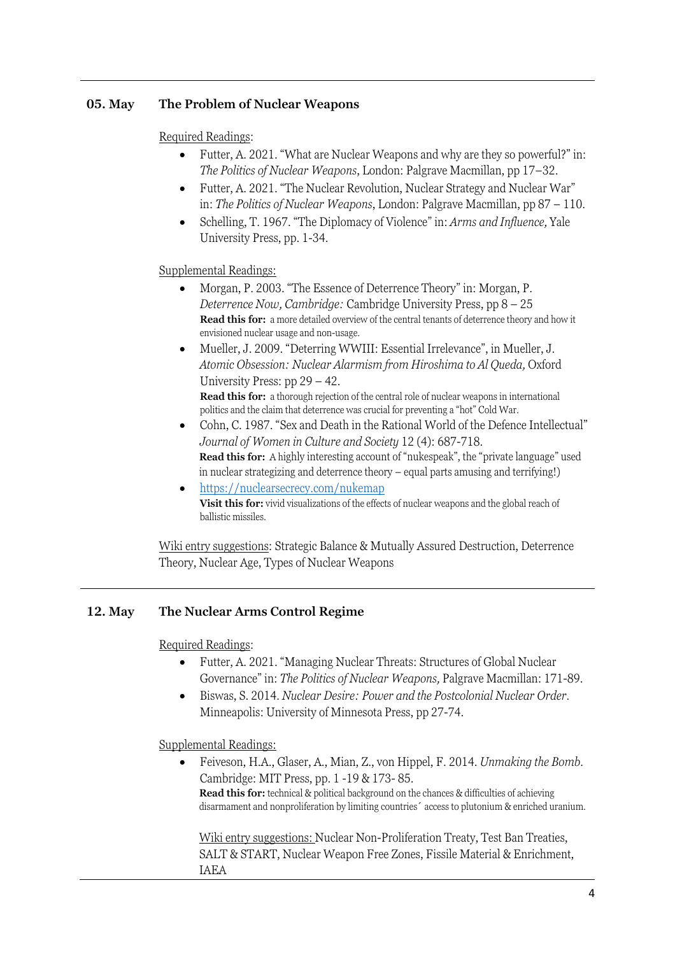## **05. May The Problem of Nuclear Weapons**

#### Required Readings:

- Futter, A. 2021. "What are Nuclear Weapons and why are they so powerful?" in: *The Politics of Nuclear Weapons*, London: Palgrave Macmillan, pp 17–32.
- Futter, A. 2021. "The Nuclear Revolution, Nuclear Strategy and Nuclear War" in: *The Politics of Nuclear Weapons*, London: Palgrave Macmillan, pp 87 – 110.
- Schelling, T. 1967. "The Diplomacy of Violence" in: *Arms and Influence,* Yale University Press, pp. 1-34.

## Supplemental Readings:

- Morgan, P. 2003. "The Essence of Deterrence Theory" in: Morgan, P. *Deterrence Now, Cambridge:* Cambridge University Press, pp 8 – 25 **Read this for:** a more detailed overview of the central tenants of deterrence theory and how it envisioned nuclear usage and non-usage.
- Mueller, J. 2009. "Deterring WWIII: Essential Irrelevance", in Mueller, J. *Atomic Obsession: Nuclear Alarmism from Hiroshima to Al Queda,* Oxford University Press: pp 29 – 42. **Read this for:** a thorough rejection of the central role of nuclear weapons in international politics and the claim that deterrence was crucial for preventing a "hot" Cold War.
- Cohn, C. 1987. "Sex and Death in the Rational World of the Defence Intellectual" *Journal of Women in Culture and Society* 12 (4): 687-718. **Read this for:** A highly interesting account of "nukespeak", the "private language" used in nuclear strategizing and deterrence theory – equal parts amusing and terrifying!)
- https://nuclearsecrecy.com/nukemap **Visit this for:** vivid visualizations of the effects of nuclear weapons and the global reach of ballistic missiles.

Wiki entry suggestions: Strategic Balance & Mutually Assured Destruction, Deterrence Theory, Nuclear Age, Types of Nuclear Weapons

## **12. May The Nuclear Arms Control Regime**

#### Required Readings:

- Futter, A. 2021. "Managing Nuclear Threats: Structures of Global Nuclear Governance" in: *The Politics of Nuclear Weapons,* Palgrave Macmillan: 171-89.
- Biswas, S. 2014*. Nuclear Desire: Power and the Postcolonial Nuclear Order.*  Minneapolis: University of Minnesota Press, pp 27-74.

Supplemental Readings:

• Feiveson, H.A., Glaser, A., Mian, Z., von Hippel, F. 2014. *Unmaking the Bomb.*  Cambridge: MIT Press, pp. 1 -19 & 173- 85. **Read this for:** technical & political background on the chances & difficulties of achieving disarmament and nonproliferation by limiting countries´ access to plutonium & enriched uranium.

Wiki entry suggestions: Nuclear Non-Proliferation Treaty, Test Ban Treaties, SALT & START, Nuclear Weapon Free Zones, Fissile Material & Enrichment, IAEA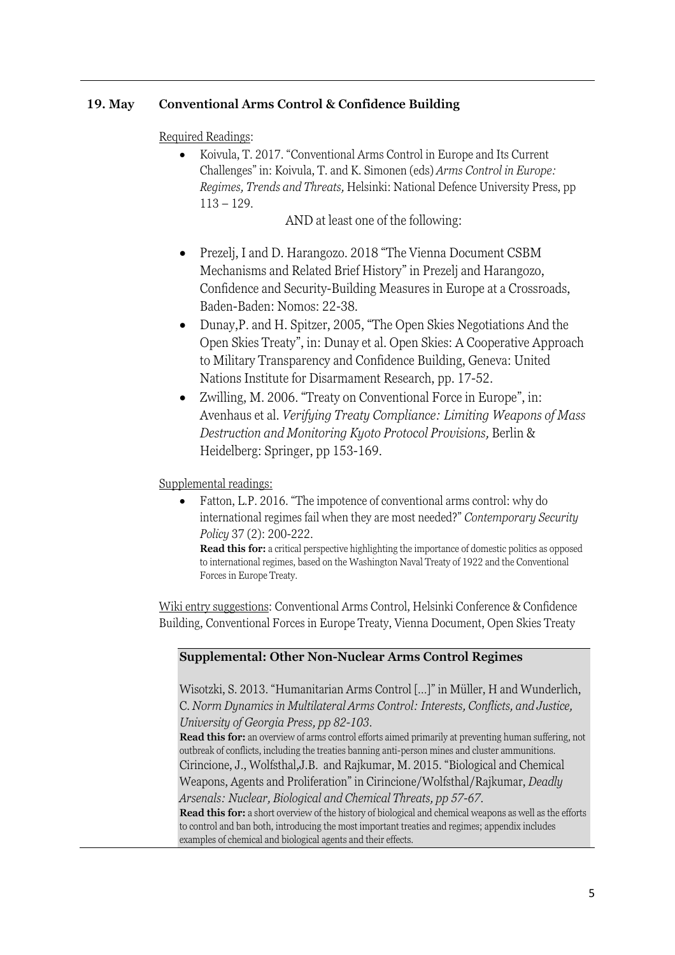# **19. May Conventional Arms Control & Confidence Building**

Required Readings:

• Koivula, T. 2017. "Conventional Arms Control in Europe and Its Current Challenges" in: Koivula, T. and K. Simonen (eds) *Arms Control in Europe: Regimes, Trends and Threats,* Helsinki: National Defence University Press, pp 113 – 129.

AND at least one of the following:

- Prezelj, I and D. Harangozo. 2018 "The Vienna Document CSBM Mechanisms and Related Brief History" in Prezelj and Harangozo, Confidence and Security-Building Measures in Europe at a Crossroads, Baden-Baden: Nomos: 22-38.
- Dunay,P. and H. Spitzer, 2005, "The Open Skies Negotiations And the Open Skies Treaty", in: Dunay et al. Open Skies: A Cooperative Approach to Military Transparency and Confidence Building, Geneva: United Nations Institute for Disarmament Research, pp. 17-52.
- Zwilling, M. 2006. "Treaty on Conventional Force in Europe", in: Avenhaus et al. *Verifying Treaty Compliance: Limiting Weapons of Mass Destruction and Monitoring Kyoto Protocol Provisions,* Berlin & Heidelberg: Springer, pp 153-169.

Supplemental readings:

• Fatton, L.P. 2016. "The impotence of conventional arms control: why do international regimes fail when they are most needed?" *Contemporary Security Policy* 37 (2): 200-222.

**Read this for:** a critical perspective highlighting the importance of domestic politics as opposed to international regimes, based on the Washington Naval Treaty of 1922 and the Conventional Forces in Europe Treaty.

Wiki entry suggestions: Conventional Arms Control, Helsinki Conference & Confidence Building, Conventional Forces in Europe Treaty, Vienna Document, Open Skies Treaty

## **Supplemental: Other Non-Nuclear Arms Control Regimes**

Wisotzki, S. 2013. "Humanitarian Arms Control […]" in Müller, H and Wunderlich, C. *Norm Dynamics in Multilateral Arms Control: Interests, Conflicts, and Justice, University of Georgia Press, pp 82-103.*

**Read this for:** an overview of arms control efforts aimed primarily at preventing human suffering, not outbreak of conflicts, including the treaties banning anti-person mines and cluster ammunitions. Cirincione, J., Wolfsthal,J.B. and Rajkumar, M. 2015. "Biological and Chemical Weapons, Agents and Proliferation" in Cirincione/Wolfsthal/Rajkumar, *Deadly Arsenals: Nuclear, Biological and Chemical Threats, pp 57-67.*

**Read this for:** a short overview of the history of biological and chemical weapons as well as the efforts to control and ban both, introducing the most important treaties and regimes; appendix includes examples of chemical and biological agents and their effects.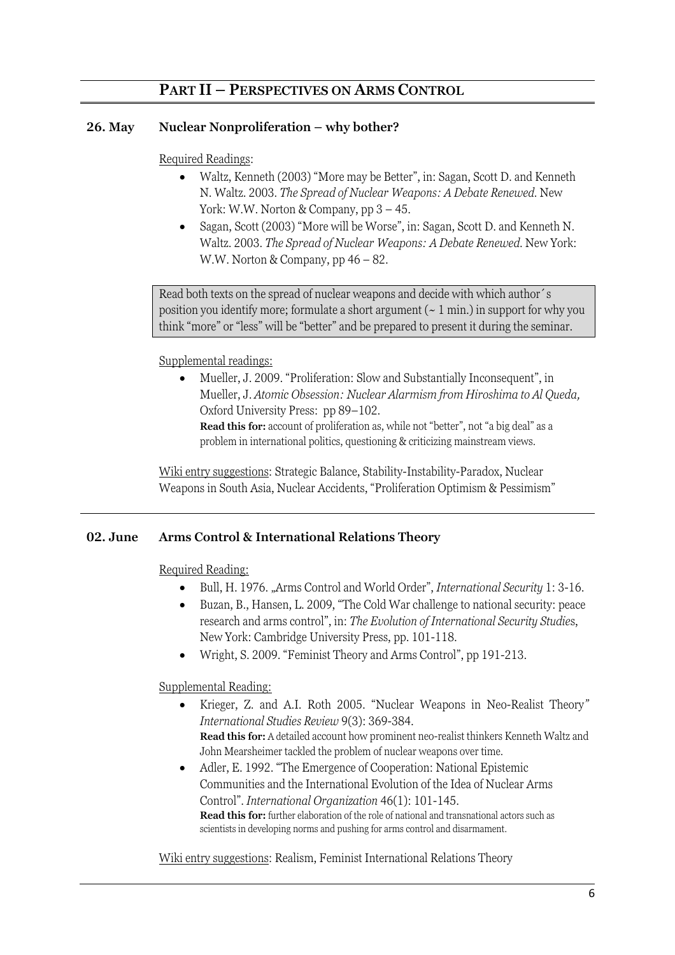# **PART II – PERSPECTIVES ON ARMS CONTROL**

## **26. May Nuclear Nonproliferation – why bother?**

## Required Readings:

- Waltz, Kenneth (2003) "More may be Better", in: Sagan, Scott D. and Kenneth N. Waltz. 2003*. The Spread of Nuclear Weapons: A Debate Renewed.* New York: W.W. Norton & Company, pp  $3 - 45$ .
- Sagan, Scott (2003) "More will be Worse", in: Sagan, Scott D. and Kenneth N. Waltz. 2003*. The Spread of Nuclear Weapons: A Debate Renewed.* New York: W.W. Norton & Company, pp 46 – 82.

Read both texts on the spread of nuclear weapons and decide with which author´s position you identify more; formulate a short argument  $($   $\sim$  1 min.) in support for why you think "more" or "less" will be "better" and be prepared to present it during the seminar.

## Supplemental readings:

• Mueller, J. 2009. "Proliferation: Slow and Substantially Inconsequent", in Mueller, J. *Atomic Obsession: Nuclear Alarmism from Hiroshima to Al Queda,* Oxford University Press: pp 89–102.

**Read this for:** account of proliferation as, while not "better", not "a big deal" as a problem in international politics, questioning & criticizing mainstream views.

Wiki entry suggestions: Strategic Balance, Stability-Instability-Paradox, Nuclear Weapons in South Asia, Nuclear Accidents, "Proliferation Optimism & Pessimism"

#### **02. June Arms Control & International Relations Theory**

Required Reading:

- Bull, H. 1976. "Arms Control and World Order", *International Security* 1: 3-16.
- Buzan, B., Hansen, L. 2009, "The Cold War challenge to national security: peace research and arms control", in: *The Evolution of International Security Studie*s, New York: Cambridge University Press, pp. 101-118.
- Wright, S. 2009. "Feminist Theory and Arms Control", pp 191-213.

## Supplemental Reading:

- Krieger, Z. and A.I. Roth 2005. "Nuclear Weapons in Neo-Realist Theory*" International Studies Review* 9(3): 369-384. **Read this for:** A detailed account how prominent neo-realist thinkers Kenneth Waltz and John Mearsheimer tackled the problem of nuclear weapons over time.
- Adler, E. 1992. "The Emergence of Cooperation: National Epistemic Communities and the International Evolution of the Idea of Nuclear Arms Control". *International Organization* 46(1): 101-145. **Read this for:** further elaboration of the role of national and transnational actors such as scientists in developing norms and pushing for arms control and disarmament.

Wiki entry suggestions: Realism, Feminist International Relations Theory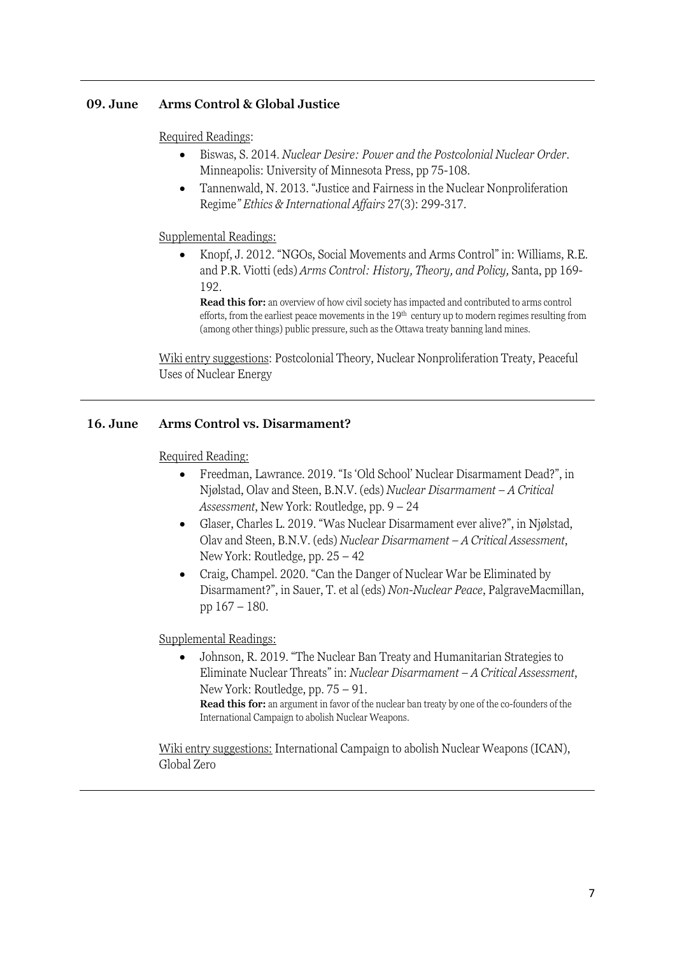## **09. June Arms Control & Global Justice**

Required Readings:

- Biswas, S. 2014*. Nuclear Desire: Power and the Postcolonial Nuclear Order.*  Minneapolis: University of Minnesota Press, pp 75-108.
- Tannenwald, N. 2013. "Justice and Fairness in the Nuclear Nonproliferation Regime*" Ethics & International Affairs* 27(3): 299-317.

Supplemental Readings:

• Knopf, J. 2012. "NGOs, Social Movements and Arms Control" in: Williams, R.E. and P.R. Viotti (eds) *Arms Control: History, Theory, and Policy,* Santa, pp 169- 192.

**Read this for:** an overview of how civil society has impacted and contributed to arms control efforts, from the earliest peace movements in the 19<sup>th</sup> century up to modern regimes resulting from (among other things) public pressure, such as the Ottawa treaty banning land mines.

Wiki entry suggestions: Postcolonial Theory, Nuclear Nonproliferation Treaty, Peaceful Uses of Nuclear Energy

## **16. June Arms Control vs. Disarmament?**

Required Reading:

- Freedman, Lawrance. 2019. "Is 'Old School' Nuclear Disarmament Dead?", in Njølstad, Olav and Steen, B.N.V. (eds) *Nuclear Disarmament – A Critical Assessment*, New York: Routledge, pp. 9 – 24
- Glaser, Charles L. 2019. "Was Nuclear Disarmament ever alive?", in Njølstad, Olav and Steen, B.N.V. (eds) *Nuclear Disarmament – A Critical Assessment*, New York: Routledge, pp. 25 – 42
- Craig, Champel. 2020. "Can the Danger of Nuclear War be Eliminated by Disarmament?", in Sauer, T. et al (eds) *Non-Nuclear Peace*, PalgraveMacmillan, pp 167 – 180.

Supplemental Readings:

• Johnson, R. 2019. "The Nuclear Ban Treaty and Humanitarian Strategies to Eliminate Nuclear Threats" in: *Nuclear Disarmament – A Critical Assessment*, New York: Routledge, pp. 75 – 91. **Read this for:** an argument in favor of the nuclear ban treaty by one of the co-founders of the International Campaign to abolish Nuclear Weapons.

Wiki entry suggestions: International Campaign to abolish Nuclear Weapons (ICAN), Global Zero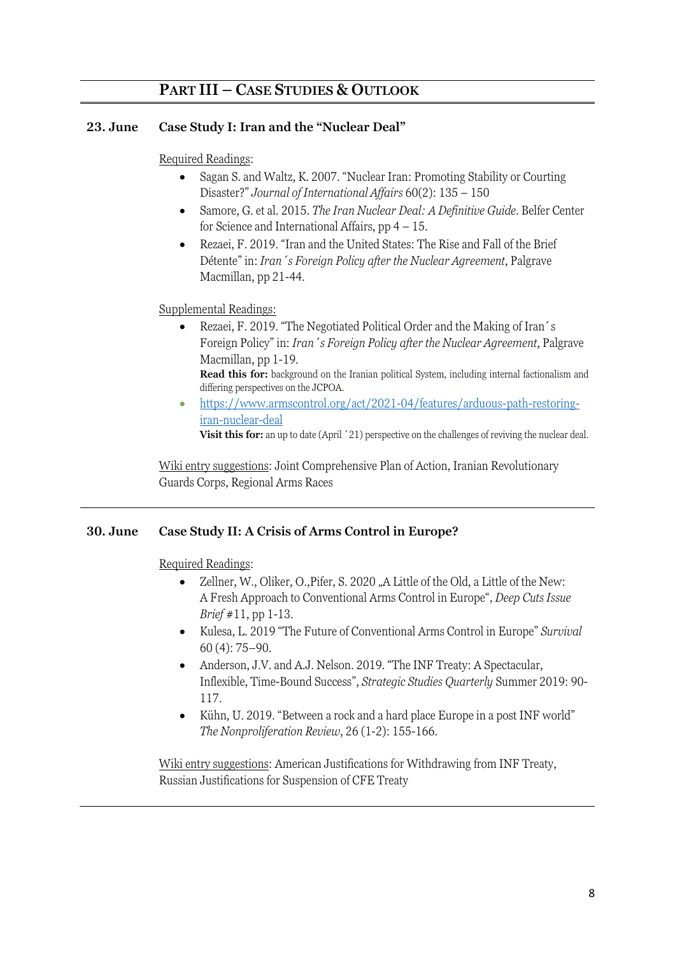# **PART III – CASE STUDIES & OUTLOOK**

## **23. June Case Study I: Iran and the "Nuclear Deal"**

#### Required Readings:

- Sagan S. and Waltz, K. 2007. "Nuclear Iran: Promoting Stability or Courting Disaster?" *Journal of International Affairs* 60(2): 135 – 150
- Samore, G. et al. 2015. *The Iran Nuclear Deal: A Definitive Guide*. Belfer Center for Science and International Affairs,  $pp  $4 - 15$ .$
- Rezaei, F. 2019. "Iran and the United States: The Rise and Fall of the Brief Détente" in: *Iran´s Foreign Policy after the Nuclear Agreement*, Palgrave Macmillan, pp 21-44.

## Supplemental Readings:

• Rezaei, F. 2019. "The Negotiated Political Order and the Making of Iran's Foreign Policy" in: *Iran´s Foreign Policy after the Nuclear Agreement*, Palgrave Macmillan, pp 1-19.

• https://www.armscontrol.org/act/2021-04/features/arduous-path-restoringiran-nuclear-deal

Visit this for: an up to date (April  $'21$ ) perspective on the challenges of reviving the nuclear deal.

Wiki entry suggestions: Joint Comprehensive Plan of Action, Iranian Revolutionary Guards Corps, Regional Arms Races

#### **30. June Case Study II: A Crisis of Arms Control in Europe?**

Required Readings:

- Zellner, W., Oliker, O., Pifer, S. 2020, A Little of the Old, a Little of the New: A Fresh Approach to Conventional Arms Control in Europe", *Deep Cuts Issue Brief* #11, pp 1-13.
- Kulesa, L. 2019 "The Future of Conventional Arms Control in Europe" *Survival* 60 (4): 75–90.
- Anderson, J.V. and A.J. Nelson. 2019. "The INF Treaty: A Spectacular, Inflexible, Time-Bound Success", *Strategic Studies Quarterly* Summer 2019: 90- 117.
- Kühn, U. 2019. "Between a rock and a hard place Europe in a post INF world" *The Nonproliferation Review*, 26 (1-2): 155-166.

Wiki entry suggestions: American Justifications for Withdrawing from INF Treaty, Russian Justifications for Suspension of CFE Treaty

**Read this for:** background on the Iranian political System, including internal factionalism and differing perspectives on the JCPOA.